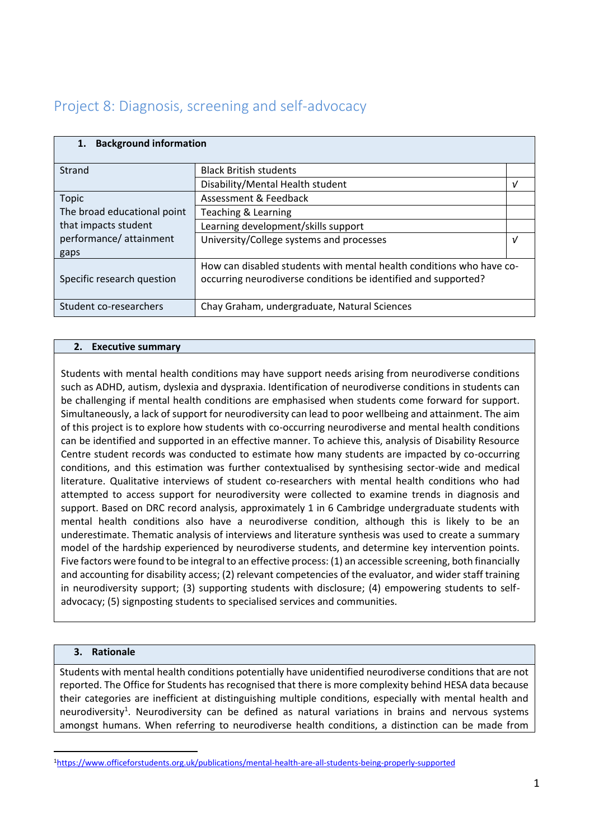# Project 8: Diagnosis, screening and self-advocacy

| <b>Background information</b><br>1. |                                                                      |   |
|-------------------------------------|----------------------------------------------------------------------|---|
| Strand                              | <b>Black British students</b>                                        |   |
|                                     | Disability/Mental Health student                                     | ν |
| <b>Topic</b>                        | Assessment & Feedback                                                |   |
| The broad educational point         | Teaching & Learning                                                  |   |
| that impacts student                | Learning development/skills support                                  |   |
| performance/attainment              | University/College systems and processes                             | ν |
| gaps                                |                                                                      |   |
|                                     | How can disabled students with mental health conditions who have co- |   |
| Specific research question          | occurring neurodiverse conditions be identified and supported?       |   |
|                                     |                                                                      |   |
| Student co-researchers              | Chay Graham, undergraduate, Natural Sciences                         |   |

#### **2. Executive summary**

Students with mental health conditions may have support needs arising from neurodiverse conditions such as ADHD, autism, dyslexia and dyspraxia. Identification of neurodiverse conditions in students can be challenging if mental health conditions are emphasised when students come forward for support. Simultaneously, a lack of support for neurodiversity can lead to poor wellbeing and attainment. The aim of this project is to explore how students with co-occurring neurodiverse and mental health conditions can be identified and supported in an effective manner. To achieve this, analysis of Disability Resource Centre student records was conducted to estimate how many students are impacted by co-occurring conditions, and this estimation was further contextualised by synthesising sector-wide and medical literature. Qualitative interviews of student co-researchers with mental health conditions who had attempted to access support for neurodiversity were collected to examine trends in diagnosis and support. Based on DRC record analysis, approximately 1 in 6 Cambridge undergraduate students with mental health conditions also have a neurodiverse condition, although this is likely to be an underestimate. Thematic analysis of interviews and literature synthesis was used to create a summary model of the hardship experienced by neurodiverse students, and determine key intervention points. Five factors were found to be integral to an effective process: (1) an accessible screening, both financially and accounting for disability access; (2) relevant competencies of the evaluator, and wider staff training in neurodiversity support; (3) supporting students with disclosure; (4) empowering students to selfadvocacy; (5) signposting students to specialised services and communities.

# **3. Rationale**

Students with mental health conditions potentially have unidentified neurodiverse conditions that are not reported. The Office for Students has recognised that there is more complexity behind HESA data because their categories are inefficient at distinguishing multiple conditions, especially with mental health and neurodiversity<sup>1</sup>. Neurodiversity can be defined as natural variations in brains and nervous systems amongst humans. When referring to neurodiverse health conditions, a distinction can be made from

<sup>1</sup>[https://www.officeforstudents.org.uk/publications/mental-health-are-all-students-being-properly-supported](https://www.officeforstudents.org.uk/publications/mental-health-are-all-students-being-properly-supported/)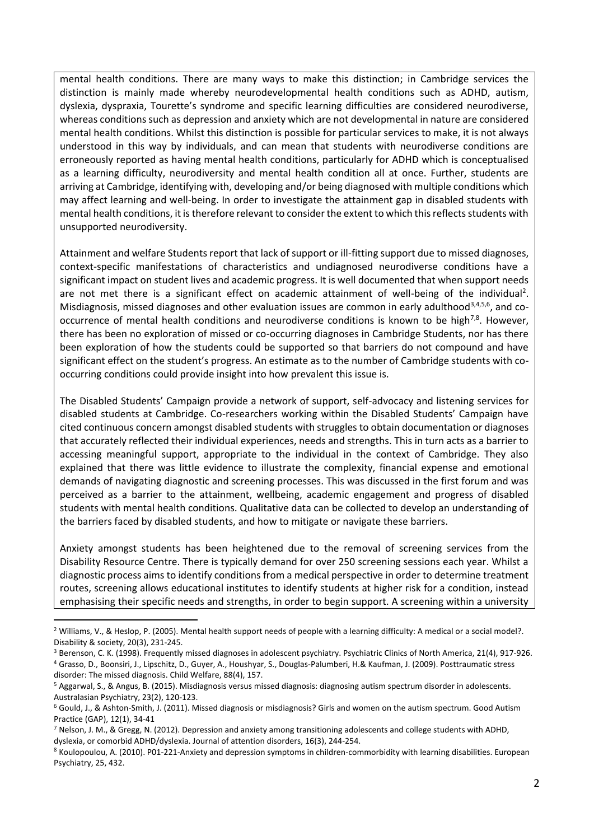mental health conditions. There are many ways to make this distinction; in Cambridge services the distinction is mainly made whereby neurodevelopmental health conditions such as ADHD, autism, dyslexia, dyspraxia, Tourette's syndrome and specific learning difficulties are considered neurodiverse, whereas conditions such as depression and anxiety which are not developmental in nature are considered mental health conditions. Whilst this distinction is possible for particular services to make, it is not always understood in this way by individuals, and can mean that students with neurodiverse conditions are erroneously reported as having mental health conditions, particularly for ADHD which is conceptualised as a learning difficulty, neurodiversity and mental health condition all at once. Further, students are arriving at Cambridge, identifying with, developing and/or being diagnosed with multiple conditions which may affect learning and well-being. In order to investigate the attainment gap in disabled students with mental health conditions, it is therefore relevant to consider the extent to which this reflects students with unsupported neurodiversity.

Attainment and welfare Students report that lack of support or ill-fitting support due to missed diagnoses, context-specific manifestations of characteristics and undiagnosed neurodiverse conditions have a significant impact on student lives and academic progress. It is well documented that when support needs are not met there is a significant effect on academic attainment of well-being of the individual<sup>2</sup>. Misdiagnosis, missed diagnoses and other evaluation issues are common in early adulthood<sup>3,4,5,6</sup>, and cooccurrence of mental health conditions and neurodiverse conditions is known to be high<sup>7,8</sup>. However, there has been no exploration of missed or co-occurring diagnoses in Cambridge Students, nor has there been exploration of how the students could be supported so that barriers do not compound and have significant effect on the student's progress. An estimate as to the number of Cambridge students with cooccurring conditions could provide insight into how prevalent this issue is.

The Disabled Students' Campaign provide a network of support, self-advocacy and listening services for disabled students at Cambridge. Co-researchers working within the Disabled Students' Campaign have cited continuous concern amongst disabled students with struggles to obtain documentation or diagnoses that accurately reflected their individual experiences, needs and strengths. This in turn acts as a barrier to accessing meaningful support, appropriate to the individual in the context of Cambridge. They also explained that there was little evidence to illustrate the complexity, financial expense and emotional demands of navigating diagnostic and screening processes. This was discussed in the first forum and was perceived as a barrier to the attainment, wellbeing, academic engagement and progress of disabled students with mental health conditions. Qualitative data can be collected to develop an understanding of the barriers faced by disabled students, and how to mitigate or navigate these barriers.

Anxiety amongst students has been heightened due to the removal of screening services from the Disability Resource Centre. There is typically demand for over 250 screening sessions each year. Whilst a diagnostic process aims to identify conditions from a medical perspective in order to determine treatment routes, screening allows educational institutes to identify students at higher risk for a condition, instead emphasising their specific needs and strengths, in order to begin support. A screening within a university

<sup>&</sup>lt;sup>2</sup> Williams, V., & Heslop, P. (2005). Mental health support needs of people with a learning difficulty: A medical or a social model?. Disability & society, 20(3), 231-245.

<sup>&</sup>lt;sup>3</sup> Berenson, C. K. (1998). Frequently missed diagnoses in adolescent psychiatry. Psychiatric Clinics of North America, 21(4), 917-926. <sup>4</sup> Grasso, D., Boonsiri, J., Lipschitz, D., Guyer, A., Houshyar, S., Douglas-Palumberi, H.& Kaufman, J. (2009). Posttraumatic stress disorder: The missed diagnosis. Child Welfare, 88(4), 157.

<sup>5</sup> Aggarwal, S., & Angus, B. (2015). Misdiagnosis versus missed diagnosis: diagnosing autism spectrum disorder in adolescents. Australasian Psychiatry, 23(2), 120-123.

<sup>6</sup> Gould, J., & Ashton-Smith, J. (2011). Missed diagnosis or misdiagnosis? Girls and women on the autism spectrum. Good Autism Practice (GAP), 12(1), 34-41

<sup>7</sup> Nelson, J. M., & Gregg, N. (2012). Depression and anxiety among transitioning adolescents and college students with ADHD, dyslexia, or comorbid ADHD/dyslexia. Journal of attention disorders, 16(3), 244-254.

<sup>8</sup> Koulopoulou, A. (2010). P01-221-Anxiety and depression symptoms in children-commorbidity with learning disabilities. European Psychiatry, 25, 432.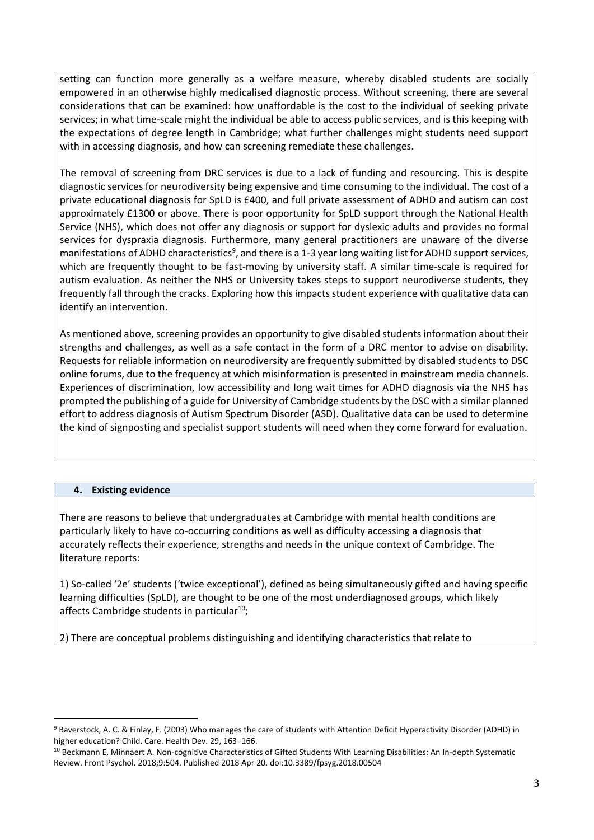setting can function more generally as a welfare measure, whereby disabled students are socially empowered in an otherwise highly medicalised diagnostic process. Without screening, there are several considerations that can be examined: how unaffordable is the cost to the individual of seeking private services; in what time-scale might the individual be able to access public services, and is this keeping with the expectations of degree length in Cambridge; what further challenges might students need support with in accessing diagnosis, and how can screening remediate these challenges.

The removal of screening from DRC services is due to a lack of funding and resourcing. This is despite diagnostic services for neurodiversity being expensive and time consuming to the individual. The cost of a private educational diagnosis for SpLD is £400, and full private assessment of ADHD and autism can cost approximately £1300 or above. There is poor opportunity for SpLD support through the National Health Service (NHS), which does not offer any diagnosis or support for dyslexic adults and provides no formal services for dyspraxia diagnosis. Furthermore, many general practitioners are unaware of the diverse manifestations of ADHD characteristics<sup>9</sup>, and there is a 1-3 year long waiting list for ADHD support services, which are frequently thought to be fast-moving by university staff. A similar time-scale is required for autism evaluation. As neither the NHS or University takes steps to support neurodiverse students, they frequently fall through the cracks. Exploring how this impacts student experience with qualitative data can identify an intervention.

As mentioned above, screening provides an opportunity to give disabled students information about their strengths and challenges, as well as a safe contact in the form of a DRC mentor to advise on disability. Requests for reliable information on neurodiversity are frequently submitted by disabled students to DSC online forums, due to the frequency at which misinformation is presented in mainstream media channels. Experiences of discrimination, low accessibility and long wait times for ADHD diagnosis via the NHS has prompted the publishing of a guide for University of Cambridge students by the DSC with a similar planned effort to address diagnosis of Autism Spectrum Disorder (ASD). Qualitative data can be used to determine the kind of signposting and specialist support students will need when they come forward for evaluation.

# **4. Existing evidence**

There are reasons to believe that undergraduates at Cambridge with mental health conditions are particularly likely to have co-occurring conditions as well as difficulty accessing a diagnosis that accurately reflects their experience, strengths and needs in the unique context of Cambridge. The literature reports:

1) So-called '2e' students ('twice exceptional'), defined as being simultaneously gifted and having specific learning difficulties (SpLD), are thought to be one of the most underdiagnosed groups, which likely affects Cambridge students in particular<sup>10</sup>;

2) There are conceptual problems distinguishing and identifying characteristics that relate to

<sup>9</sup> Baverstock, A. C. & Finlay, F. (2003) Who manages the care of students with Attention Deficit Hyperactivity Disorder (ADHD) in higher education? Child. Care. Health Dev. 29, 163–166.

<sup>&</sup>lt;sup>10</sup> Beckmann E, Minnaert A. Non-cognitive Characteristics of Gifted Students With Learning Disabilities: An In-depth Systematic Review. Front Psychol. 2018;9:504. Published 2018 Apr 20. doi:10.3389/fpsyg.2018.00504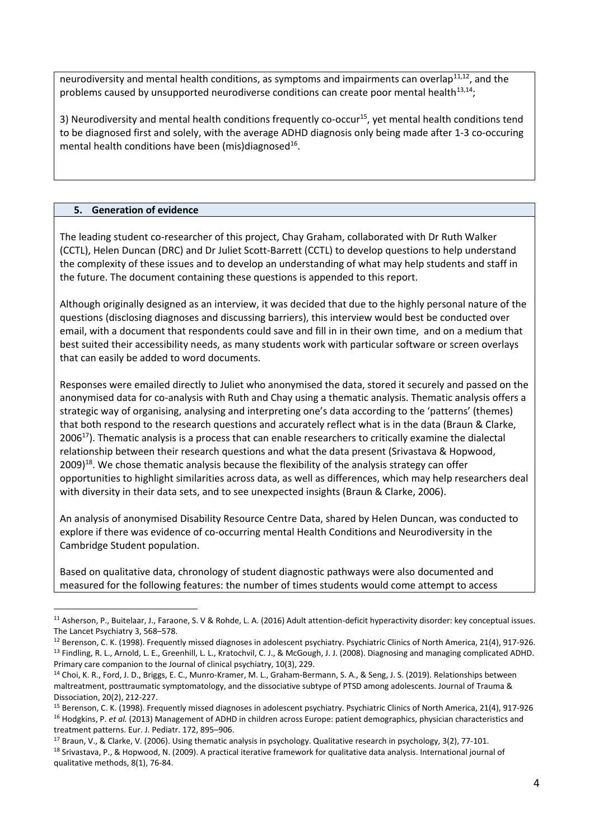neurodiversity and mental health conditions, as symptoms and impairments can overlap<sup>11,12</sup>, and the problems caused by unsupported neurodiverse conditions can create poor mental health $^{13,14}$ ;

3) Neurodiversity and mental health conditions frequently co-occur<sup>15</sup>, yet mental health conditions tend to be diagnosed first and solely, with the average ADHD diagnosis only being made after 1-3 co-occuring mental health conditions have been (mis)diagnosed<sup>16</sup>.

#### **5. Generation of evidence**

The leading student co-researcher of this project, Chay Graham, collaborated with Dr Ruth Walker (CCTL), Helen Duncan (DRC) and Dr Juliet Scott-Barrett (CCTL) to develop questions to help understand the complexity of these issues and to develop an understanding of what may help students and staff in the future. The document containing these questions is appended to this report.

Although originally designed as an interview, it was decided that due to the highly personal nature of the questions (disclosing diagnoses and discussing barriers), this interview would best be conducted over email, with a document that respondents could save and fill in in their own time, and on a medium that best suited their accessibility needs, as many students work with particular software or screen overlays that can easily be added to word documents.

Responses were emailed directly to Juliet who anonymised the data, stored it securely and passed on the anonymised data for co-analysis with Ruth and Chay using a thematic analysis. Thematic analysis offers a strategic way of organising, analysing and interpreting one's data according to the 'patterns' (themes) that both respond to the research questions and accurately reflect what is in the data (Braun & Clarke,  $2006<sup>17</sup>$ ). Thematic analysis is a process that can enable researchers to critically examine the dialectal relationship between their research questions and what the data present (Srivastava & Hopwood,  $2009$ <sup>18</sup>. We chose thematic analysis because the flexibility of the analysis strategy can offer opportunities to highlight similarities across data, as well as differences, which may help researchers deal with diversity in their data sets, and to see unexpected insights (Braun & Clarke, 2006).

An analysis of anonymised Disability Resource Centre Data, shared by Helen Duncan, was conducted to explore if there was evidence of co-occurring mental Health Conditions and Neurodiversity in the Cambridge Student population.

Based on qualitative data, chronology of student diagnostic pathways were also documented and measured for the following features: the number of times students would come attempt to access

<sup>&</sup>lt;sup>11</sup> Asherson, P., Buitelaar, J., Faraone, S. V & Rohde, L. A. (2016) Adult attention-deficit hyperactivity disorder: key conceptual issues. The Lancet Psychiatry 3, 568–578.

<sup>&</sup>lt;sup>12</sup> Berenson, C. K. (1998). Frequently missed diagnoses in adolescent psychiatry. Psychiatric Clinics of North America, 21(4), 917-926. <sup>13</sup> Findling, R. L., Arnold, L. E., Greenhill, L. L., Kratochvil, C. J., & McGough, J. J. (2008). Diagnosing and managing complicated ADHD. Primary care companion to the Journal of clinical psychiatry, 10(3), 229.

<sup>&</sup>lt;sup>14</sup> Choi, K. R., Ford, J. D., Briggs, E. C., Munro-Kramer, M. L., Graham-Bermann, S. A., & Seng, J. S. (2019). Relationships between maltreatment, posttraumatic symptomatology, and the dissociative subtype of PTSD among adolescents. Journal of Trauma & Dissociation, 20(2), 212-227.

<sup>&</sup>lt;sup>15</sup> Berenson, C. K. (1998). Frequently missed diagnoses in adolescent psychiatry. Psychiatric Clinics of North America, 21(4), 917-926 <sup>16</sup> Hodgkins, P. *et al.* (2013) Management of ADHD in children across Europe: patient demographics, physician characteristics and treatment patterns. Eur. J. Pediatr. 172, 895–906.

<sup>17</sup> Braun, V., & Clarke, V. (2006). Using thematic analysis in psychology. Qualitative research in psychology, 3(2), 77-101.

<sup>&</sup>lt;sup>18</sup> Srivastava, P., & Hopwood, N. (2009). A practical iterative framework for qualitative data analysis. International journal of qualitative methods, 8(1), 76-84.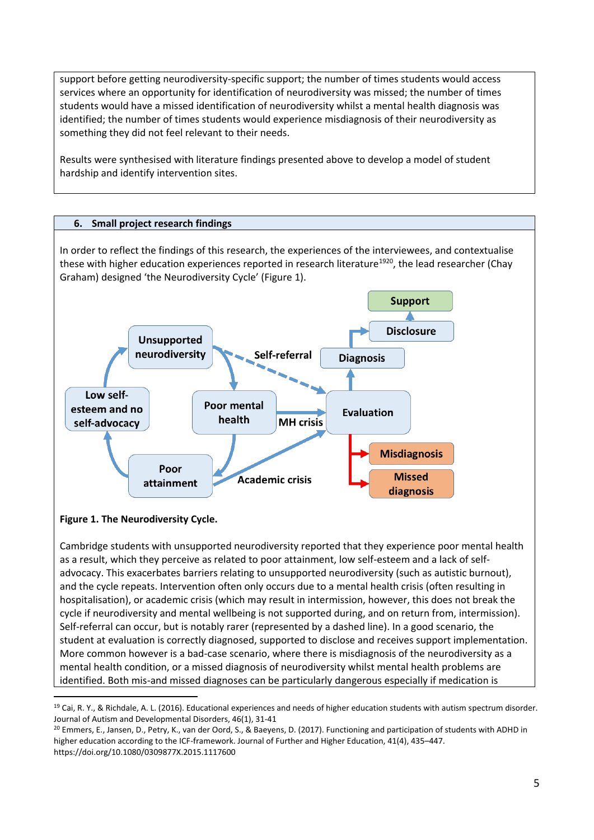support before getting neurodiversity-specific support; the number of times students would access services where an opportunity for identification of neurodiversity was missed; the number of times students would have a missed identification of neurodiversity whilst a mental health diagnosis was identified; the number of times students would experience misdiagnosis of their neurodiversity as something they did not feel relevant to their needs.

Results were synthesised with literature findings presented above to develop a model of student hardship and identify intervention sites.

# **6. Small project research findings**

In order to reflect the findings of this research, the experiences of the interviewees, and contextualise these with higher education experiences reported in research literature<sup>1920</sup>, the lead researcher (Chay Graham) designed 'the Neurodiversity Cycle' (Figure 1).



**Figure 1. The Neurodiversity Cycle.**

Cambridge students with unsupported neurodiversity reported that they experience poor mental health as a result, which they perceive as related to poor attainment, low self-esteem and a lack of selfadvocacy. This exacerbates barriers relating to unsupported neurodiversity (such as autistic burnout), and the cycle repeats. Intervention often only occurs due to a mental health crisis (often resulting in hospitalisation), or academic crisis (which may result in intermission, however, this does not break the cycle if neurodiversity and mental wellbeing is not supported during, and on return from, intermission). Self-referral can occur, but is notably rarer (represented by a dashed line). In a good scenario, the student at evaluation is correctly diagnosed, supported to disclose and receives support implementation. More common however is a bad-case scenario, where there is misdiagnosis of the neurodiversity as a mental health condition, or a missed diagnosis of neurodiversity whilst mental health problems are identified. Both mis-and missed diagnoses can be particularly dangerous especially if medication is

 $19$  Cai, R. Y., & Richdale, A. L. (2016). Educational experiences and needs of higher education students with autism spectrum disorder. Journal of Autism and Developmental Disorders, 46(1), 31-41

<sup>&</sup>lt;sup>20</sup> Emmers, E., Jansen, D., Petry, K., van der Oord, S., & Baeyens, D. (2017). Functioning and participation of students with ADHD in higher education according to the ICF-framework. Journal of Further and Higher Education, 41(4), 435–447. https://doi.org/10.1080/0309877X.2015.1117600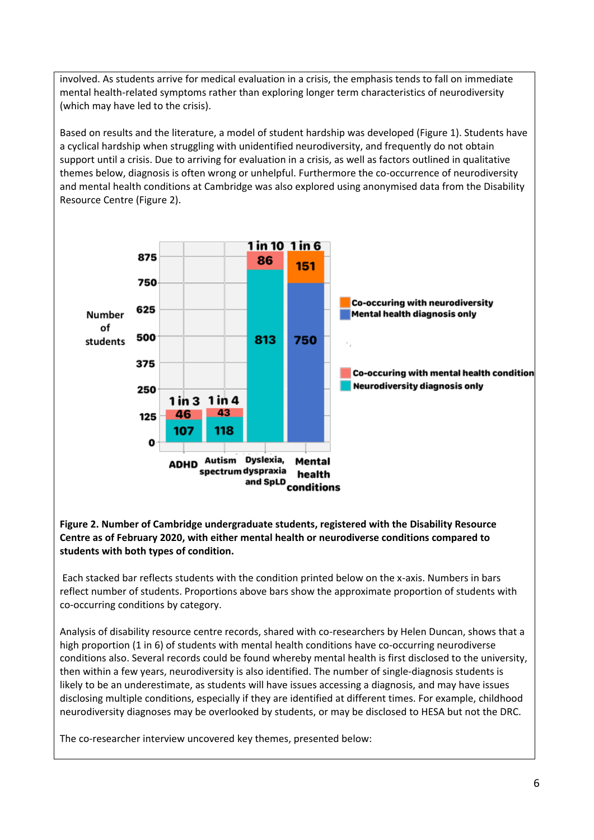involved. As students arrive for medical evaluation in a crisis, the emphasis tends to fall on immediate mental health-related symptoms rather than exploring longer term characteristics of neurodiversity (which may have led to the crisis).

Based on results and the literature, a model of student hardship was developed (Figure 1). Students have a cyclical hardship when struggling with unidentified neurodiversity, and frequently do not obtain support until a crisis. Due to arriving for evaluation in a crisis, as well as factors outlined in qualitative themes below, diagnosis is often wrong or unhelpful. Furthermore the co-occurrence of neurodiversity and mental health conditions at Cambridge was also explored using anonymised data from the Disability Resource Centre (Figure 2).



#### **Figure 2. Number of Cambridge undergraduate students, registered with the Disability Resource Centre as of February 2020, with either mental health or neurodiverse conditions compared to students with both types of condition.**

Each stacked bar reflects students with the condition printed below on the x-axis. Numbers in bars reflect number of students. Proportions above bars show the approximate proportion of students with co-occurring conditions by category.

Analysis of disability resource centre records, shared with co-researchers by Helen Duncan, shows that a high proportion (1 in 6) of students with mental health conditions have co-occurring neurodiverse conditions also. Several records could be found whereby mental health is first disclosed to the university, then within a few years, neurodiversity is also identified. The number of single-diagnosis students is likely to be an underestimate, as students will have issues accessing a diagnosis, and may have issues disclosing multiple conditions, especially if they are identified at different times. For example, childhood neurodiversity diagnoses may be overlooked by students, or may be disclosed to HESA but not the DRC.

The co-researcher interview uncovered key themes, presented below: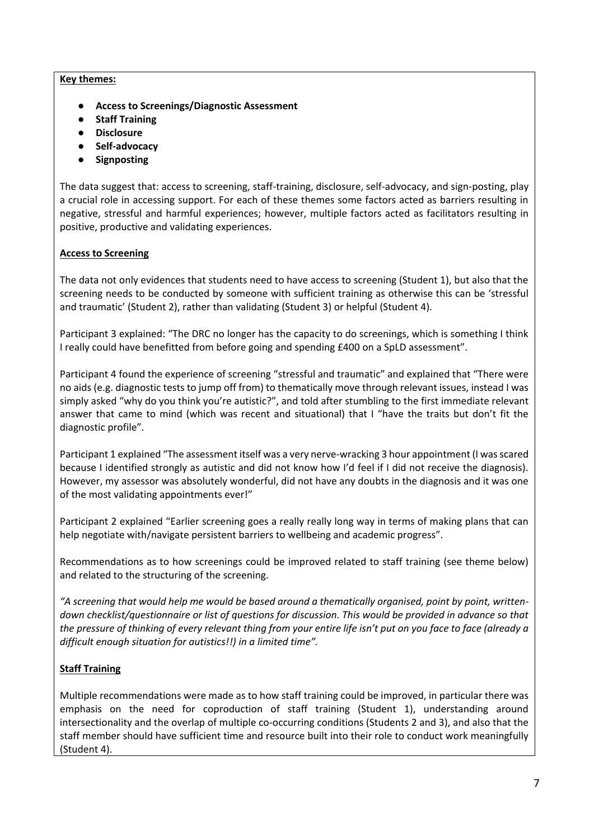#### **Key themes:**

- **Access to Screenings/Diagnostic Assessment**
- **Staff Training**
- **Disclosure**
- **Self-advocacy**
- **Signposting**

The data suggest that: access to screening, staff-training, disclosure, self-advocacy, and sign-posting, play a crucial role in accessing support. For each of these themes some factors acted as barriers resulting in negative, stressful and harmful experiences; however, multiple factors acted as facilitators resulting in positive, productive and validating experiences.

# **Access to Screening**

The data not only evidences that students need to have access to screening (Student 1), but also that the screening needs to be conducted by someone with sufficient training as otherwise this can be 'stressful and traumatic' (Student 2), rather than validating (Student 3) or helpful (Student 4).

Participant 3 explained: "The DRC no longer has the capacity to do screenings, which is something I think I really could have benefitted from before going and spending £400 on a SpLD assessment".

Participant 4 found the experience of screening "stressful and traumatic" and explained that "There were no aids (e.g. diagnostic tests to jump off from) to thematically move through relevant issues, instead I was simply asked "why do you think you're autistic?", and told after stumbling to the first immediate relevant answer that came to mind (which was recent and situational) that I "have the traits but don't fit the diagnostic profile".

Participant 1 explained "The assessment itself was a very nerve-wracking 3 hour appointment (I was scared because I identified strongly as autistic and did not know how I'd feel if I did not receive the diagnosis). However, my assessor was absolutely wonderful, did not have any doubts in the diagnosis and it was one of the most validating appointments ever!"

Participant 2 explained "Earlier screening goes a really really long way in terms of making plans that can help negotiate with/navigate persistent barriers to wellbeing and academic progress".

Recommendations as to how screenings could be improved related to staff training (see theme below) and related to the structuring of the screening.

*"A screening that would help me would be based around a thematically organised, point by point, writtendown checklist/questionnaire or list of questions for discussion. This would be provided in advance so that the pressure of thinking of every relevant thing from your entire life isn't put on you face to face (already a difficult enough situation for autistics!!) in a limited time".*

# **Staff Training**

Multiple recommendations were made as to how staff training could be improved, in particular there was emphasis on the need for coproduction of staff training (Student 1), understanding around intersectionality and the overlap of multiple co-occurring conditions (Students 2 and 3), and also that the staff member should have sufficient time and resource built into their role to conduct work meaningfully (Student 4).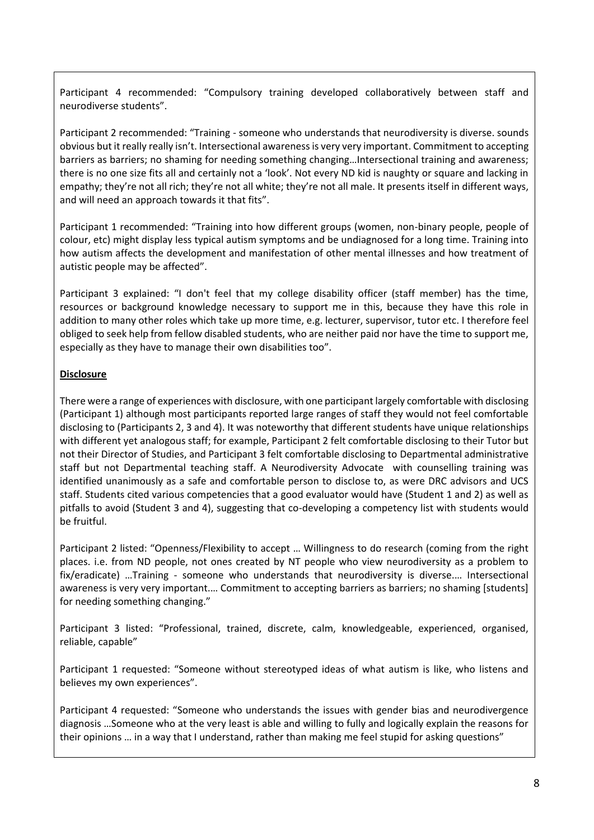Participant 4 recommended: "Compulsory training developed collaboratively between staff and neurodiverse students".

Participant 2 recommended: "Training - someone who understands that neurodiversity is diverse. sounds obvious but it really really isn't. Intersectional awareness is very very important. Commitment to accepting barriers as barriers; no shaming for needing something changing…Intersectional training and awareness; there is no one size fits all and certainly not a 'look'. Not every ND kid is naughty or square and lacking in empathy; they're not all rich; they're not all white; they're not all male. It presents itself in different ways, and will need an approach towards it that fits".

Participant 1 recommended: "Training into how different groups (women, non-binary people, people of colour, etc) might display less typical autism symptoms and be undiagnosed for a long time. Training into how autism affects the development and manifestation of other mental illnesses and how treatment of autistic people may be affected".

Participant 3 explained: "I don't feel that my college disability officer (staff member) has the time, resources or background knowledge necessary to support me in this, because they have this role in addition to many other roles which take up more time, e.g. lecturer, supervisor, tutor etc. I therefore feel obliged to seek help from fellow disabled students, who are neither paid nor have the time to support me, especially as they have to manage their own disabilities too".

# **Disclosure**

There were a range of experiences with disclosure, with one participant largely comfortable with disclosing (Participant 1) although most participants reported large ranges of staff they would not feel comfortable disclosing to (Participants 2, 3 and 4). It was noteworthy that different students have unique relationships with different yet analogous staff; for example, Participant 2 felt comfortable disclosing to their Tutor but not their Director of Studies, and Participant 3 felt comfortable disclosing to Departmental administrative staff but not Departmental teaching staff. A Neurodiversity Advocate with counselling training was identified unanimously as a safe and comfortable person to disclose to, as were DRC advisors and UCS staff. Students cited various competencies that a good evaluator would have (Student 1 and 2) as well as pitfalls to avoid (Student 3 and 4), suggesting that co-developing a competency list with students would be fruitful.

Participant 2 listed: "Openness/Flexibility to accept … Willingness to do research (coming from the right places. i.e. from ND people, not ones created by NT people who view neurodiversity as a problem to fix/eradicate) …Training - someone who understands that neurodiversity is diverse.… Intersectional awareness is very very important.... Commitment to accepting barriers as barriers; no shaming [students] for needing something changing."

Participant 3 listed: "Professional, trained, discrete, calm, knowledgeable, experienced, organised, reliable, capable"

Participant 1 requested: "Someone without stereotyped ideas of what autism is like, who listens and believes my own experiences".

Participant 4 requested: "Someone who understands the issues with gender bias and neurodivergence diagnosis …Someone who at the very least is able and willing to fully and logically explain the reasons for their opinions … in a way that I understand, rather than making me feel stupid for asking questions"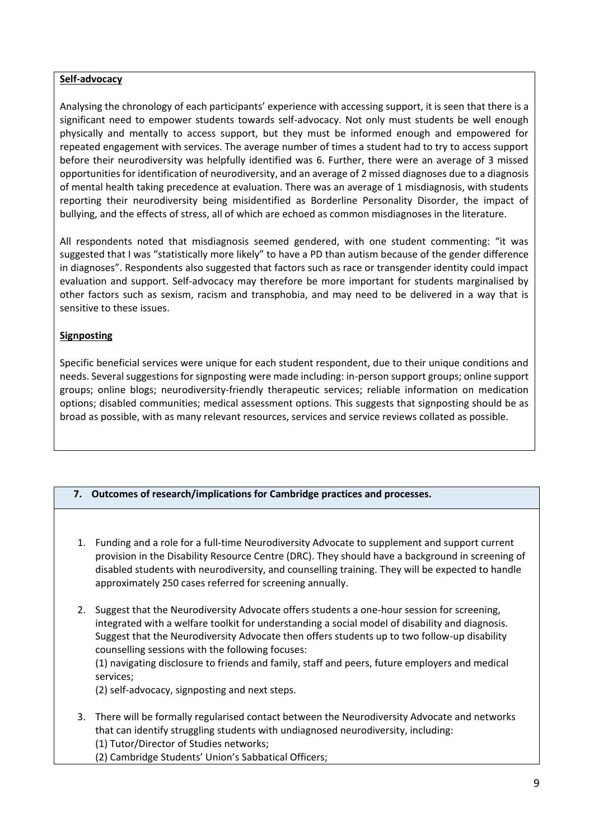#### **Self-advocacy**

Analysing the chronology of each participants' experience with accessing support, it is seen that there is a significant need to empower students towards self-advocacy. Not only must students be well enough physically and mentally to access support, but they must be informed enough and empowered for repeated engagement with services. The average number of times a student had to try to access support before their neurodiversity was helpfully identified was 6. Further, there were an average of 3 missed opportunities for identification of neurodiversity, and an average of 2 missed diagnoses due to a diagnosis of mental health taking precedence at evaluation. There was an average of 1 misdiagnosis, with students reporting their neurodiversity being misidentified as Borderline Personality Disorder, the impact of bullying, and the effects of stress, all of which are echoed as common misdiagnoses in the literature.

All respondents noted that misdiagnosis seemed gendered, with one student commenting: "it was suggested that I was "statistically more likely" to have a PD than autism because of the gender difference in diagnoses". Respondents also suggested that factors such as race or transgender identity could impact evaluation and support. Self-advocacy may therefore be more important for students marginalised by other factors such as sexism, racism and transphobia, and may need to be delivered in a way that is sensitive to these issues.

# **Signposting**

Specific beneficial services were unique for each student respondent, due to their unique conditions and needs. Several suggestions for signposting were made including: in-person support groups; online support groups; online blogs; neurodiversity-friendly therapeutic services; reliable information on medication options; disabled communities; medical assessment options. This suggests that signposting should be as broad as possible, with as many relevant resources, services and service reviews collated as possible.

# **7. Outcomes of research/implications for Cambridge practices and processes.**

- 1. Funding and a role for a full-time Neurodiversity Advocate to supplement and support current provision in the Disability Resource Centre (DRC). They should have a background in screening of disabled students with neurodiversity, and counselling training. They will be expected to handle approximately 250 cases referred for screening annually.
- 2. Suggest that the Neurodiversity Advocate offers students a one-hour session for screening, integrated with a welfare toolkit for understanding a social model of disability and diagnosis. Suggest that the Neurodiversity Advocate then offers students up to two follow-up disability counselling sessions with the following focuses:

(1) navigating disclosure to friends and family, staff and peers, future employers and medical services;

(2) self-advocacy, signposting and next steps.

- 3. There will be formally regularised contact between the Neurodiversity Advocate and networks that can identify struggling students with undiagnosed neurodiversity, including: (1) Tutor/Director of Studies networks;
	- (2) Cambridge Students' Union's Sabbatical Officers;